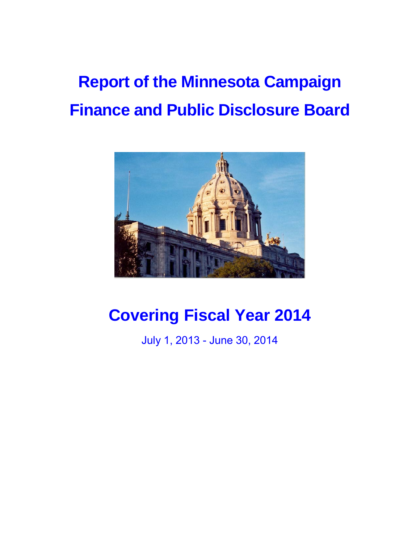# **Report of the Minnesota Campaign Finance and Public Disclosure Board**



# **Covering Fiscal Year 2014**

July 1, 2013 - June 30, 2014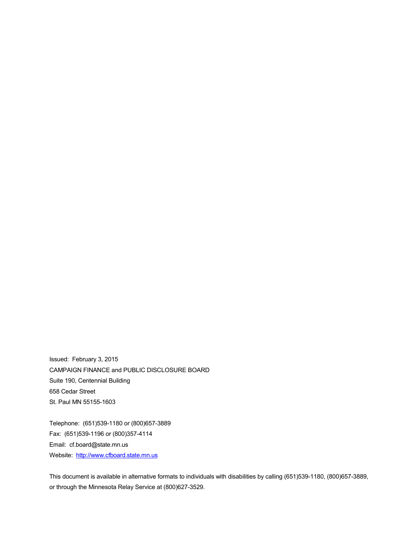Issued: February 3, 2015 CAMPAIGN FINANCE and PUBLIC DISCLOSURE BOARD Suite 190, Centennial Building 658 Cedar Street St. Paul MN 55155-1603

Telephone: (651)539-1180 or (800)657-3889 Fax: (651)539-1196 or (800)357-4114 Email: cf.board@state.mn.us Website: [http://www.cfboard.state.mn.us](http://www.cfboard.state.mn.us/)

This document is available in alternative formats to individuals with disabilities by calling (651)539-1180, (800)657-3889, or through the Minnesota Relay Service at (800)627-3529.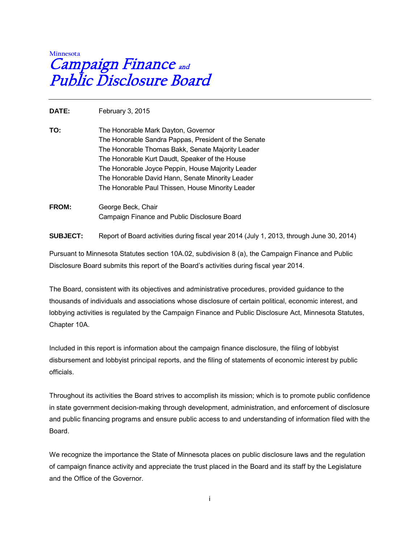# **Minnesota**  Campaign Finance and Public Disclosure Board

**DATE:** February 3, 2015

- **TO:** The Honorable Mark Dayton, Governor The Honorable Sandra Pappas, President of the Senate The Honorable Thomas Bakk, Senate Majority Leader The Honorable Kurt Daudt, Speaker of the House The Honorable Joyce Peppin, House Majority Leader The Honorable David Hann, Senate Minority Leader The Honorable Paul Thissen, House Minority Leader
- **FROM:** George Beck, Chair Campaign Finance and Public Disclosure Board

**SUBJECT:** Report of Board activities during fiscal year 2014 (July 1, 2013, through June 30, 2014)

Pursuant to Minnesota Statutes section 10A.02, subdivision 8 (a), the Campaign Finance and Public Disclosure Board submits this report of the Board's activities during fiscal year 2014.

The Board, consistent with its objectives and administrative procedures, provided guidance to the thousands of individuals and associations whose disclosure of certain political, economic interest, and lobbying activities is regulated by the Campaign Finance and Public Disclosure Act, Minnesota Statutes, Chapter 10A.

Included in this report is information about the campaign finance disclosure, the filing of lobbyist disbursement and lobbyist principal reports, and the filing of statements of economic interest by public officials.

Throughout its activities the Board strives to accomplish its mission; which is to promote public confidence in state government decision-making through development, administration, and enforcement of disclosure and public financing programs and ensure public access to and understanding of information filed with the Board.

We recognize the importance the State of Minnesota places on public disclosure laws and the regulation of campaign finance activity and appreciate the trust placed in the Board and its staff by the Legislature and the Office of the Governor.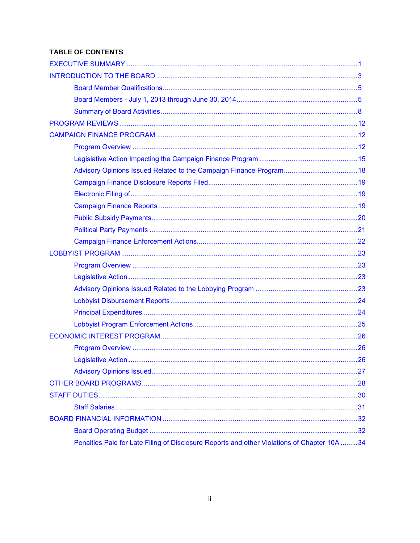# **TABLE OF CONTENTS**

| Penalties Paid for Late Filing of Disclosure Reports and other Violations of Chapter 10A 34 |  |
|---------------------------------------------------------------------------------------------|--|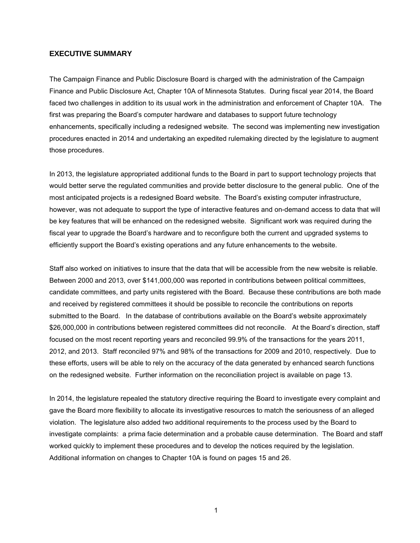#### <span id="page-4-0"></span>**EXECUTIVE SUMMARY**

The Campaign Finance and Public Disclosure Board is charged with the administration of the Campaign Finance and Public Disclosure Act, Chapter 10A of Minnesota Statutes. During fiscal year 2014, the Board faced two challenges in addition to its usual work in the administration and enforcement of Chapter 10A. The first was preparing the Board's computer hardware and databases to support future technology enhancements, specifically including a redesigned website. The second was implementing new investigation procedures enacted in 2014 and undertaking an expedited rulemaking directed by the legislature to augment those procedures.

In 2013, the legislature appropriated additional funds to the Board in part to support technology projects that would better serve the regulated communities and provide better disclosure to the general public. One of the most anticipated projects is a redesigned Board website. The Board's existing computer infrastructure, however, was not adequate to support the type of interactive features and on-demand access to data that will be key features that will be enhanced on the redesigned website. Significant work was required during the fiscal year to upgrade the Board's hardware and to reconfigure both the current and upgraded systems to efficiently support the Board's existing operations and any future enhancements to the website.

Staff also worked on initiatives to insure that the data that will be accessible from the new website is reliable. Between 2000 and 2013, over \$141,000,000 was reported in contributions between political committees, candidate committees, and party units registered with the Board. Because these contributions are both made and received by registered committees it should be possible to reconcile the contributions on reports submitted to the Board. In the database of contributions available on the Board's website approximately \$26,000,000 in contributions between registered committees did not reconcile. At the Board's direction, staff focused on the most recent reporting years and reconciled 99.9% of the transactions for the years 2011, 2012, and 2013. Staff reconciled 97% and 98% of the transactions for 2009 and 2010, respectively. Due to these efforts, users will be able to rely on the accuracy of the data generated by enhanced search functions on the redesigned website. Further information on the reconciliation project is available on page 13.

In 2014, the legislature repealed the statutory directive requiring the Board to investigate every complaint and gave the Board more flexibility to allocate its investigative resources to match the seriousness of an alleged violation. The legislature also added two additional requirements to the process used by the Board to investigate complaints: a prima facie determination and a probable cause determination. The Board and staff worked quickly to implement these procedures and to develop the notices required by the legislation. Additional information on changes to Chapter 10A is found on pages 15 and 26.

1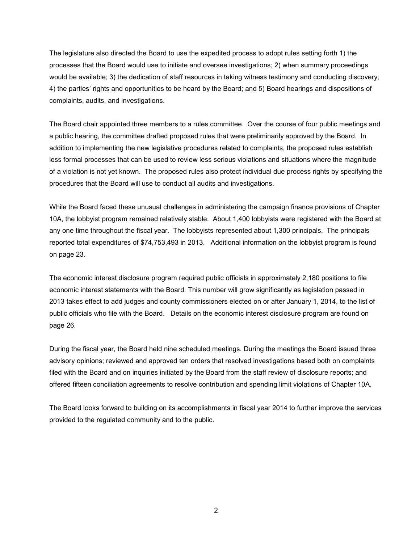The legislature also directed the Board to use the expedited process to adopt rules setting forth 1) the processes that the Board would use to initiate and oversee investigations; 2) when summary proceedings would be available; 3) the dedication of staff resources in taking witness testimony and conducting discovery; 4) the parties' rights and opportunities to be heard by the Board; and 5) Board hearings and dispositions of complaints, audits, and investigations.

The Board chair appointed three members to a rules committee. Over the course of four public meetings and a public hearing, the committee drafted proposed rules that were preliminarily approved by the Board. In addition to implementing the new legislative procedures related to complaints, the proposed rules establish less formal processes that can be used to review less serious violations and situations where the magnitude of a violation is not yet known. The proposed rules also protect individual due process rights by specifying the procedures that the Board will use to conduct all audits and investigations.

While the Board faced these unusual challenges in administering the campaign finance provisions of Chapter 10A, the lobbyist program remained relatively stable. About 1,400 lobbyists were registered with the Board at any one time throughout the fiscal year. The lobbyists represented about 1,300 principals. The principals reported total expenditures of \$74,753,493 in 2013. Additional information on the lobbyist program is found on page 23.

The economic interest disclosure program required public officials in approximately 2,180 positions to file economic interest statements with the Board. This number will grow significantly as legislation passed in 2013 takes effect to add judges and county commissioners elected on or after January 1, 2014, to the list of public officials who file with the Board. Details on the economic interest disclosure program are found on page 26.

During the fiscal year, the Board held nine scheduled meetings. During the meetings the Board issued three advisory opinions; reviewed and approved ten orders that resolved investigations based both on complaints filed with the Board and on inquiries initiated by the Board from the staff review of disclosure reports; and offered fifteen conciliation agreements to resolve contribution and spending limit violations of Chapter 10A.

The Board looks forward to building on its accomplishments in fiscal year 2014 to further improve the services provided to the regulated community and to the public.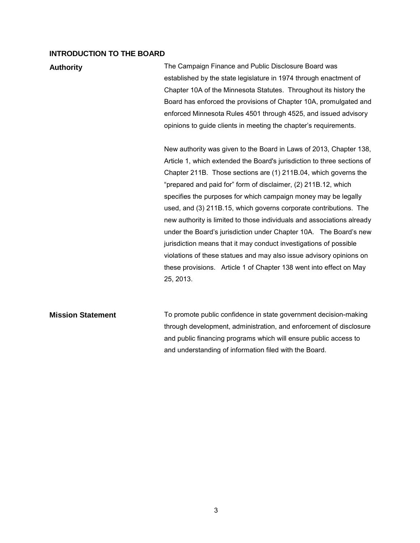#### <span id="page-6-0"></span>**INTRODUCTION TO THE BOARD**

**Authority The Campaign Finance and Public Disclosure Board was** established by the state legislature in 1974 through enactment of Chapter 10A of the Minnesota Statutes. Throughout its history the Board has enforced the provisions of Chapter 10A, promulgated and enforced Minnesota Rules 4501 through 4525, and issued advisory opinions to guide clients in meeting the chapter's requirements.

> New authority was given to the Board in Laws of 2013, Chapter 138, Article 1, which extended the Board's jurisdiction to three sections of Chapter 211B. Those sections are (1) 211B.04, which governs the "prepared and paid for" form of disclaimer, (2) 211B.12, which specifies the purposes for which campaign money may be legally used, and (3) 211B.15, which governs corporate contributions. The new authority is limited to those individuals and associations already under the Board's jurisdiction under Chapter 10A. The Board's new jurisdiction means that it may conduct investigations of possible violations of these statues and may also issue advisory opinions on these provisions. Article 1 of Chapter 138 went into effect on May 25, 2013.

**Mission Statement** To promote public confidence in state government decision-making through development, administration, and enforcement of disclosure and public financing programs which will ensure public access to and understanding of information filed with the Board.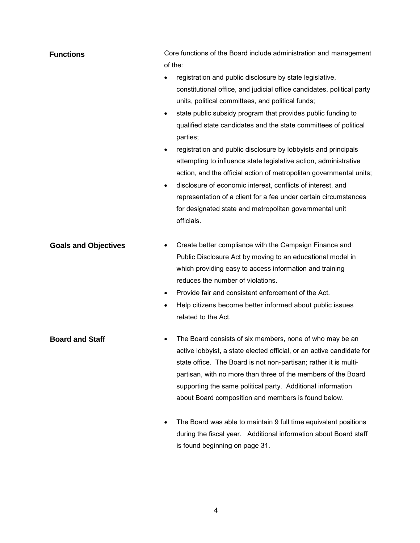| <b>Functions</b>            | Core functions of the Board include administration and management<br>of the:                                                                                                                                                                                                                                                                                                                                                                                                                                                                                                                                                                                                                                                                                                               |
|-----------------------------|--------------------------------------------------------------------------------------------------------------------------------------------------------------------------------------------------------------------------------------------------------------------------------------------------------------------------------------------------------------------------------------------------------------------------------------------------------------------------------------------------------------------------------------------------------------------------------------------------------------------------------------------------------------------------------------------------------------------------------------------------------------------------------------------|
|                             | registration and public disclosure by state legislative,<br>constitutional office, and judicial office candidates, political party<br>units, political committees, and political funds;<br>state public subsidy program that provides public funding to<br>qualified state candidates and the state committees of political<br>parties;<br>registration and public disclosure by lobbyists and principals<br>$\bullet$<br>attempting to influence state legislative action, administrative<br>action, and the official action of metropolitan governmental units;<br>disclosure of economic interest, conflicts of interest, and<br>$\bullet$<br>representation of a client for a fee under certain circumstances<br>for designated state and metropolitan governmental unit<br>officials. |
| <b>Goals and Objectives</b> | Create better compliance with the Campaign Finance and<br>Public Disclosure Act by moving to an educational model in<br>which providing easy to access information and training<br>reduces the number of violations.<br>Provide fair and consistent enforcement of the Act.<br>$\bullet$<br>Help citizens become better informed about public issues<br>$\bullet$<br>related to the Act.                                                                                                                                                                                                                                                                                                                                                                                                   |
| <b>Board and Staff</b>      | The Board consists of six members, none of who may be an<br>active lobbyist, a state elected official, or an active candidate for<br>state office. The Board is not non-partisan; rather it is multi-<br>partisan, with no more than three of the members of the Board<br>supporting the same political party. Additional information<br>about Board composition and members is found below.                                                                                                                                                                                                                                                                                                                                                                                               |
|                             | The Board was able to maintain 9 full time equivalent positions<br>during the fiscal year. Additional information about Board staff<br>is found beginning on page 31.                                                                                                                                                                                                                                                                                                                                                                                                                                                                                                                                                                                                                      |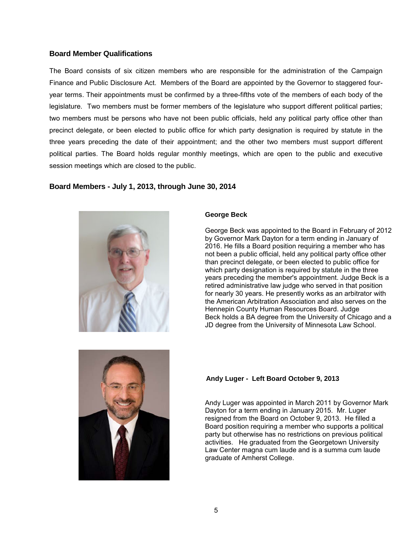#### <span id="page-8-0"></span>**Board Member Qualifications**

The Board consists of six citizen members who are responsible for the administration of the Campaign Finance and Public Disclosure Act. Members of the Board are appointed by the Governor to staggered fouryear terms. Their appointments must be confirmed by a three-fifths vote of the members of each body of the legislature. Two members must be former members of the legislature who support different political parties; two members must be persons who have not been public officials, held any political party office other than precinct delegate, or been elected to public office for which party designation is required by statute in the three years preceding the date of their appointment; and the other two members must support different political parties. The Board holds regular monthly meetings, which are open to the public and executive session meetings which are closed to the public.

#### <span id="page-8-1"></span>**Board Members - July 1, 2013, through June 30, 2014**



#### **George Beck**

George Beck was appointed to the Board in February of 2012 by Governor Mark Dayton for a term ending in January of 2016. He fills a Board position requiring a member who has not been a public official, held any political party office other than precinct delegate, or been elected to public office for which party designation is required by statute in the three years preceding the member's appointment. Judge Beck is a retired administrative law judge who served in that position for nearly 30 years. He presently works as an arbitrator with the American Arbitration Association and also serves on the Hennepin County Human Resources Board. Judge Beck holds a BA degree from the University of Chicago and a JD degree from the University of Minnesota Law School.



#### **Andy Luger - Left Board October 9, 2013**

Andy Luger was appointed in March 2011 by Governor Mark Dayton for a term ending in January 2015. Mr. Luger resigned from the Board on October 9, 2013. He filled a Board position requiring a member who supports a political party but otherwise has no restrictions on previous political activities. He graduated from the Georgetown University Law Center magna cum laude and is a summa cum laude graduate of Amherst College.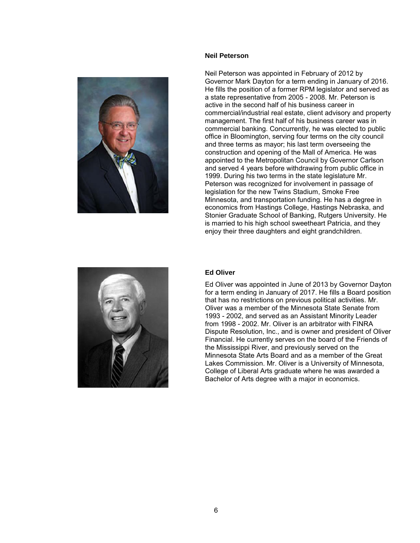#### **Neil Peterson**



Neil Peterson was appointed in February of 2012 by Governor Mark Dayton for a term ending in January of 2016. He fills the position of a former RPM legislator and served as a state representative from 2005 - 2008. Mr. Peterson is active in the second half of his business career in commercial/industrial real estate, client advisory and property management. The first half of his business career was in commercial banking. Concurrently, he was elected to public office in Bloomington, serving four terms on the city council and three terms as mayor; his last term overseeing the construction and opening of the Mall of America. He was appointed to the Metropolitan Council by Governor Carlson and served 4 years before withdrawing from public office in 1999. During his two terms in the state legislature Mr. Peterson was recognized for involvement in passage of legislation for the new Twins Stadium, Smoke Free Minnesota, and transportation funding. He has a degree in economics from Hastings College, Hastings Nebraska, and Stonier Graduate School of Banking, Rutgers University. He is married to his high school sweetheart Patricia, and they enjoy their three daughters and eight grandchildren.



#### **Ed Oliver**

Ed Oliver was appointed in June of 2013 by Governor Dayton for a term ending in January of 2017. He fills a Board position that has no restrictions on previous political activities. Mr. Oliver was a member of the Minnesota State Senate from 1993 - 2002, and served as an Assistant Minority Leader from 1998 - 2002. Mr. Oliver is an arbitrator with FINRA Dispute Resolution, Inc., and is owner and president of Oliver Financial. He currently serves on the board of the Friends of the Mississippi River, and previously served on the Minnesota State Arts Board and as a member of the Great Lakes Commission. Mr. Oliver is a University of Minnesota, College of Liberal Arts graduate where he was awarded a Bachelor of Arts degree with a major in economics.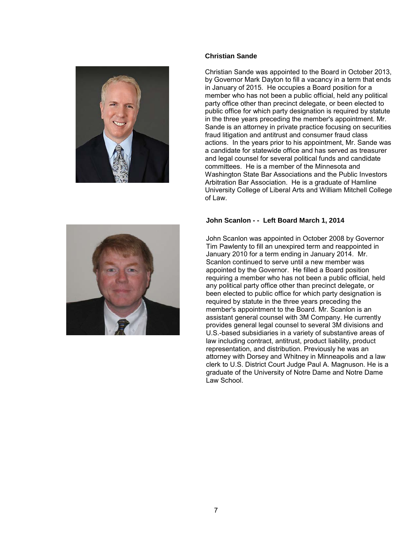

#### **Christian Sande**

Christian Sande was appointed to the Board in October 2013, by Governor Mark Dayton to fill a vacancy in a term that ends in January of 2015. He occupies a Board position for a member who has not been a public official, held any political party office other than precinct delegate, or been elected to public office for which party designation is required by statute in the three years preceding the member's appointment. Mr. Sande is an attorney in private practice focusing on securities fraud litigation and antitrust and consumer fraud class actions. In the years prior to his appointment, Mr. Sande was a candidate for statewide office and has served as treasurer and legal counsel for several political funds and candidate committees. He is a member of the Minnesota and Washington State Bar Associations and the Public Investors Arbitration Bar Association. He is a graduate of Hamline University College of Liberal Arts and William Mitchell College of Law.

#### **John Scanlon - - Left Board March 1, 2014**

John Scanlon was appointed in October 2008 by Governor Tim Pawlenty to fill an unexpired term and reappointed in January 2010 for a term ending in January 2014. Mr. Scanlon continued to serve until a new member was appointed by the Governor. He filled a Board position requiring a member who has not been a public official, held any political party office other than precinct delegate, or been elected to public office for which party designation is required by statute in the three years preceding the member's appointment to the Board. Mr. Scanlon is an assistant general counsel with 3M Company. He currently provides general legal counsel to several 3M divisions and U.S.-based subsidiaries in a variety of substantive areas of law including contract, antitrust, product liability, product representation, and distribution. Previously he was an attorney with Dorsey and Whitney in Minneapolis and a law clerk to U.S. District Court Judge Paul A. Magnuson. He is a graduate of the University of Notre Dame and Notre Dame Law School.

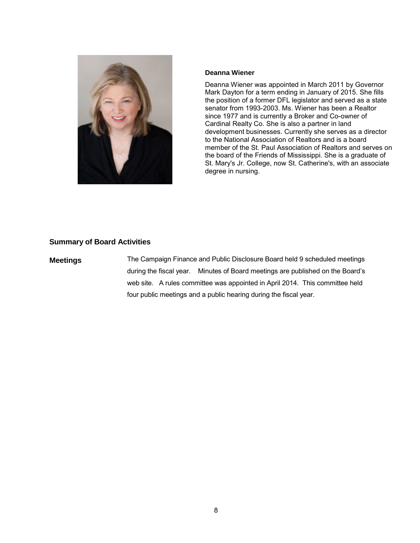

#### **Deanna Wiener**

Deanna Wiener was appointed in March 2011 by Governor Mark Dayton for a term ending in January of 2015. She fills the position of a former DFL legislator and served as a state senator from 1993-2003. Ms. Wiener has been a Realtor since 1977 and is currently a Broker and Co-owner of Cardinal Realty Co. She is also a partner in land development businesses. Currently she serves as a director to the National Association of Realtors and is a board member of the St. Paul Association of Realtors and serves on the board of the Friends of Mississippi. She is a graduate of St. Mary's Jr. College, now St. Catherine's, with an associate degree in nursing.

#### <span id="page-11-0"></span>**Summary of Board Activities**

**Meetings** The Campaign Finance and Public Disclosure Board held 9 scheduled meetings during the fiscal year. Minutes of Board meetings are published on the Board's web site. A rules committee was appointed in April 2014. This committee held four public meetings and a public hearing during the fiscal year.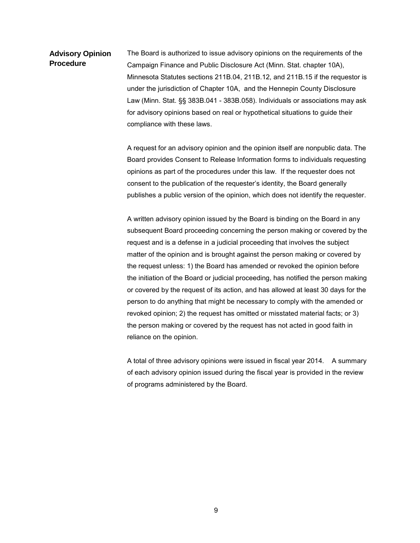**Advisory Opinion Procedure** The Board is authorized to issue advisory opinions on the requirements of the Campaign Finance and Public Disclosure Act (Minn. Stat. chapter 10A), Minnesota Statutes sections 211B.04, 211B.12, and 211B.15 if the requestor is under the jurisdiction of Chapter 10A, and the Hennepin County Disclosure Law (Minn. Stat. §§ 383B.041 - 383B.058). Individuals or associations may ask for advisory opinions based on real or hypothetical situations to guide their compliance with these laws.

> A request for an advisory opinion and the opinion itself are nonpublic data. The Board provides Consent to Release Information forms to individuals requesting opinions as part of the procedures under this law. If the requester does not consent to the publication of the requester's identity, the Board generally publishes a public version of the opinion, which does not identify the requester.

> A written advisory opinion issued by the Board is binding on the Board in any subsequent Board proceeding concerning the person making or covered by the request and is a defense in a judicial proceeding that involves the subject matter of the opinion and is brought against the person making or covered by the request unless: 1) the Board has amended or revoked the opinion before the initiation of the Board or judicial proceeding, has notified the person making or covered by the request of its action, and has allowed at least 30 days for the person to do anything that might be necessary to comply with the amended or revoked opinion; 2) the request has omitted or misstated material facts; or 3) the person making or covered by the request has not acted in good faith in reliance on the opinion.

> A total of three advisory opinions were issued in fiscal year 2014. A summary of each advisory opinion issued during the fiscal year is provided in the review of programs administered by the Board.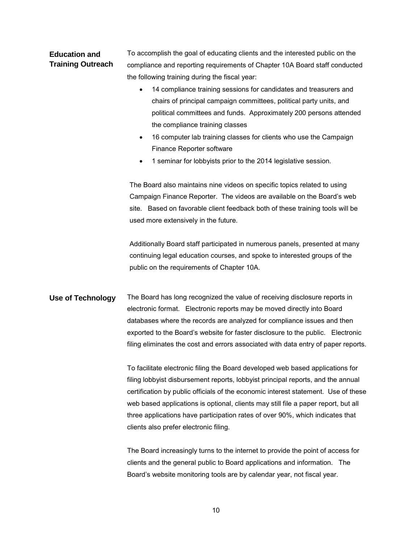# **Education and Training Outreach**

To accomplish the goal of educating clients and the interested public on the compliance and reporting requirements of Chapter 10A Board staff conducted the following training during the fiscal year:

- 14 compliance training sessions for candidates and treasurers and chairs of principal campaign committees, political party units, and political committees and funds. Approximately 200 persons attended the compliance training classes
- 16 computer lab training classes for clients who use the Campaign Finance Reporter software
- 1 seminar for lobbyists prior to the 2014 legislative session.

The Board also maintains nine videos on specific topics related to using Campaign Finance Reporter. The videos are available on the Board's web site. Based on favorable client feedback both of these training tools will be used more extensively in the future.

Additionally Board staff participated in numerous panels, presented at many continuing legal education courses, and spoke to interested groups of the public on the requirements of Chapter 10A.

**Use of Technology** The Board has long recognized the value of receiving disclosure reports in electronic format. Electronic reports may be moved directly into Board databases where the records are analyzed for compliance issues and then exported to the Board's website for faster disclosure to the public. Electronic filing eliminates the cost and errors associated with data entry of paper reports.

> To facilitate electronic filing the Board developed web based applications for filing lobbyist disbursement reports, lobbyist principal reports, and the annual certification by public officials of the economic interest statement. Use of these web based applications is optional, clients may still file a paper report, but all three applications have participation rates of over 90%, which indicates that clients also prefer electronic filing.

The Board increasingly turns to the internet to provide the point of access for clients and the general public to Board applications and information. The Board's website monitoring tools are by calendar year, not fiscal year.

10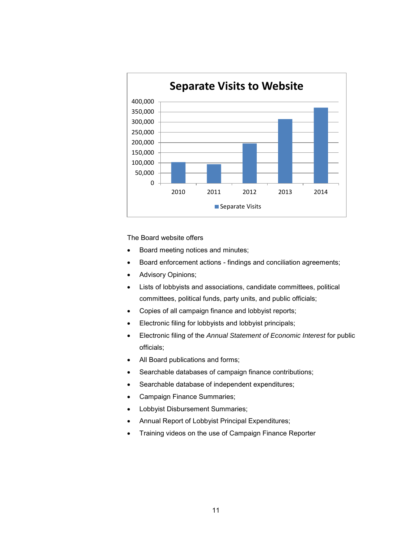

The Board website offers

- Board meeting notices and minutes;
- Board enforcement actions findings and conciliation agreements;
- Advisory Opinions;
- Lists of lobbyists and associations, candidate committees, political committees, political funds, party units, and public officials;
- Copies of all campaign finance and lobbyist reports;
- Electronic filing for lobbyists and lobbyist principals;
- Electronic filing of the *Annual Statement of Economic Interest* for public officials;
- All Board publications and forms;
- Searchable databases of campaign finance contributions;
- Searchable database of independent expenditures;
- Campaign Finance Summaries;
- Lobbyist Disbursement Summaries;
- Annual Report of Lobbyist Principal Expenditures;
- <span id="page-14-0"></span>• Training videos on the use of Campaign Finance Reporter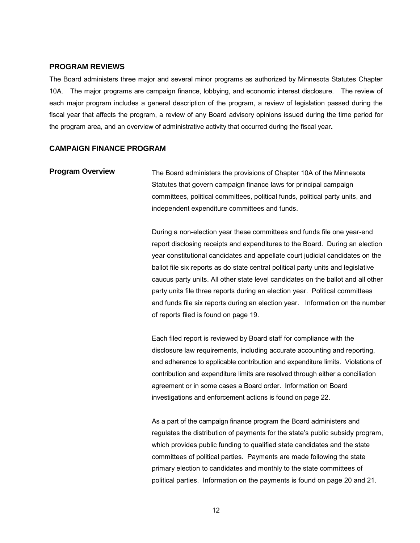#### **PROGRAM REVIEWS**

The Board administers three major and several minor programs as authorized by Minnesota Statutes Chapter 10A. The major programs are campaign finance, lobbying, and economic interest disclosure. The review of each major program includes a general description of the program, a review of legislation passed during the fiscal year that affects the program, a review of any Board advisory opinions issued during the time period for the program area, and an overview of administrative activity that occurred during the fiscal year**.** 

#### <span id="page-15-0"></span>**CAMPAIGN FINANCE PROGRAM**

# <span id="page-15-1"></span>**Program Overview** The Board administers the provisions of Chapter 10A of the Minnesota Statutes that govern campaign finance laws for principal campaign committees, political committees, political funds, political party units, and independent expenditure committees and funds.

During a non-election year these committees and funds file one year-end report disclosing receipts and expenditures to the Board. During an election year constitutional candidates and appellate court judicial candidates on the ballot file six reports as do state central political party units and legislative caucus party units. All other state level candidates on the ballot and all other party units file three reports during an election year. Political committees and funds file six reports during an election year. Information on the number of reports filed is found on page 19.

Each filed report is reviewed by Board staff for compliance with the disclosure law requirements, including accurate accounting and reporting, and adherence to applicable contribution and expenditure limits. Violations of contribution and expenditure limits are resolved through either a conciliation agreement or in some cases a Board order. Information on Board investigations and enforcement actions is found on page 22.

As a part of the campaign finance program the Board administers and regulates the distribution of payments for the state's public subsidy program, which provides public funding to qualified state candidates and the state committees of political parties. Payments are made following the state primary election to candidates and monthly to the state committees of political parties. Information on the payments is found on page 20 and 21.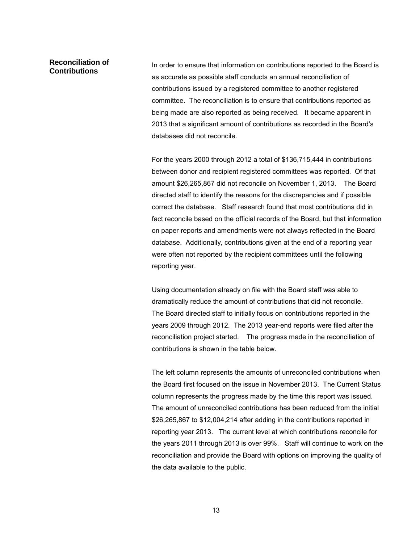# **Reconciliation of**

**Contributions** In order to ensure that information on contributions reported to the Board is as accurate as possible staff conducts an annual reconciliation of contributions issued by a registered committee to another registered committee. The reconciliation is to ensure that contributions reported as being made are also reported as being received. It became apparent in 2013 that a significant amount of contributions as recorded in the Board's databases did not reconcile.

For the years 2000 through 2012 a total of \$136,715,444 in contributions between donor and recipient registered committees was reported. Of that amount \$26,265,867 did not reconcile on November 1, 2013. The Board directed staff to identify the reasons for the discrepancies and if possible correct the database. Staff research found that most contributions did in fact reconcile based on the official records of the Board, but that information on paper reports and amendments were not always reflected in the Board database. Additionally, contributions given at the end of a reporting year were often not reported by the recipient committees until the following reporting year.

Using documentation already on file with the Board staff was able to dramatically reduce the amount of contributions that did not reconcile. The Board directed staff to initially focus on contributions reported in the years 2009 through 2012. The 2013 year-end reports were filed after the reconciliation project started. The progress made in the reconciliation of contributions is shown in the table below.

The left column represents the amounts of unreconciled contributions when the Board first focused on the issue in November 2013. The Current Status column represents the progress made by the time this report was issued. The amount of unreconciled contributions has been reduced from the initial \$26,265,867 to \$12,004,214 after adding in the contributions reported in reporting year 2013. The current level at which contributions reconcile for the years 2011 through 2013 is over 99%. Staff will continue to work on the reconciliation and provide the Board with options on improving the quality of the data available to the public.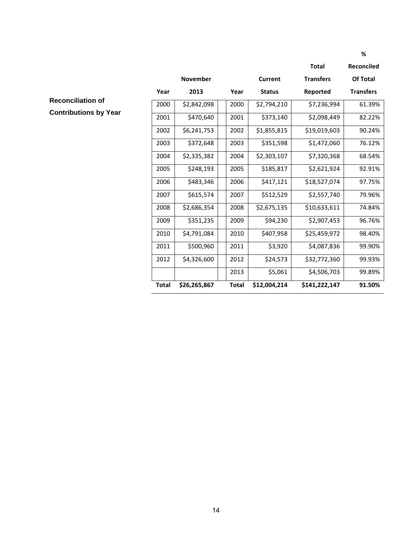|              |                 |              |               | <b>Total</b>     | <b>Reconciled</b> |
|--------------|-----------------|--------------|---------------|------------------|-------------------|
|              | <b>November</b> |              | Current       | <b>Transfers</b> | Of Total          |
| Year         | 2013            | Year         | <b>Status</b> | Reported         | <b>Transfers</b>  |
| 2000         | \$2,842,098     | 2000         | \$2,794,210   | \$7,236,994      | 61.39%            |
| 2001         | \$470,640       | 2001         | \$373,140     | \$2,098,449      | 82.22%            |
| 2002         | \$6,241,753     | 2002         | \$1,855,815   | \$19,019,603     | 90.24%            |
| 2003         | \$372,648       | 2003         | \$351,598     | \$1,472,060      | 76.12%            |
| 2004         | \$2,335,382     | 2004         | \$2,303,107   | \$7,320,368      | 68.54%            |
| 2005         | \$248,193       | 2005         | \$185,817     | \$2,621,924      | 92.91%            |
| 2006         | \$483,346       | 2006         | \$417,121     | \$18,527,074     | 97.75%            |
| 2007         | \$615,574       | 2007         | \$512,529     | \$2,557,740      | 79.96%            |
| 2008         | \$2,686,354     | 2008         | \$2,675,135   | \$10,633,611     | 74.84%            |
| 2009         | \$351,235       | 2009         | \$94,230      | \$2,907,453      | 96.76%            |
| 2010         | \$4,791,084     | 2010         | \$407,958     | \$25,459,972     | 98.40%            |
| 2011         | \$500,960       | 2011         | \$3,920       | \$4,087,836      | 99.90%            |
| 2012         | \$4,326,600     | 2012         | \$24,573      | \$32,772,360     | 99.93%            |
|              |                 | 2013         | \$5,061       | \$4,506,703      | 99.89%            |
| <b>Total</b> | \$26,265,867    | <b>Total</b> | \$12,004,214  | \$141,222,147    | 91.50%            |

**Reconciliation of Contributions by Year**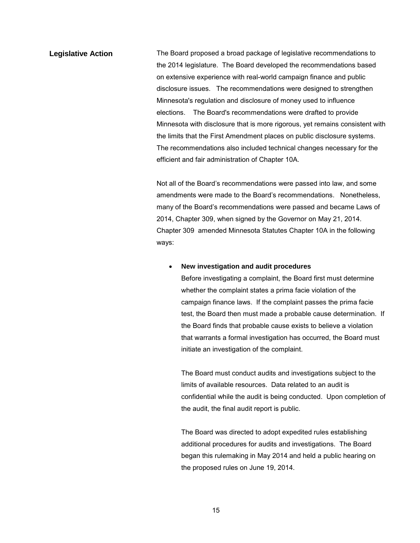<span id="page-18-0"></span>**Legislative Action** The Board proposed a broad package of legislative recommendations to the 2014 legislature. The Board developed the recommendations based on extensive experience with real-world campaign finance and public disclosure issues. The recommendations were designed to strengthen Minnesota's regulation and disclosure of money used to influence elections. The Board's recommendations were drafted to provide Minnesota with disclosure that is more rigorous, yet remains consistent with the limits that the First Amendment places on public disclosure systems. The recommendations also included technical changes necessary for the efficient and fair administration of Chapter 10A.

> Not all of the Board's recommendations were passed into law, and some amendments were made to the Board's recommendations. Nonetheless, many of the Board's recommendations were passed and became Laws of 2014, Chapter 309, when signed by the Governor on May 21, 2014. Chapter 309 amended Minnesota Statutes Chapter 10A in the following ways:

#### • **New investigation and audit procedures**

Before investigating a complaint, the Board first must determine whether the complaint states a prima facie violation of the campaign finance laws. If the complaint passes the prima facie test, the Board then must made a probable cause determination. If the Board finds that probable cause exists to believe a violation that warrants a formal investigation has occurred, the Board must initiate an investigation of the complaint.

The Board must conduct audits and investigations subject to the limits of available resources. Data related to an audit is confidential while the audit is being conducted. Upon completion of the audit, the final audit report is public.

The Board was directed to adopt expedited rules establishing additional procedures for audits and investigations. The Board began this rulemaking in May 2014 and held a public hearing on the proposed rules on June 19, 2014.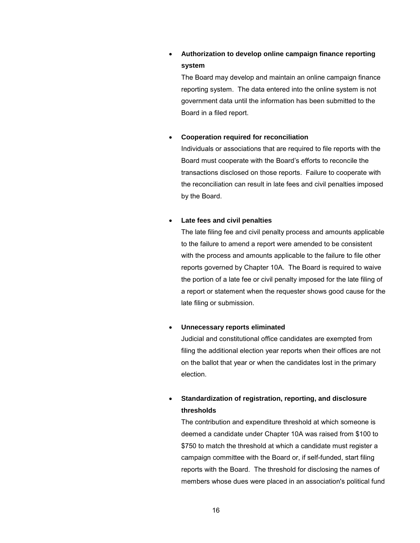# • **Authorization to develop online campaign finance reporting system**

The Board may develop and maintain an online campaign finance reporting system. The data entered into the online system is not government data until the information has been submitted to the Board in a filed report.

#### • **Cooperation required for reconciliation**

Individuals or associations that are required to file reports with the Board must cooperate with the Board's efforts to reconcile the transactions disclosed on those reports. Failure to cooperate with the reconciliation can result in late fees and civil penalties imposed by the Board.

#### • **Late fees and civil penalties**

The late filing fee and civil penalty process and amounts applicable to the failure to amend a report were amended to be consistent with the process and amounts applicable to the failure to file other reports governed by Chapter 10A. The Board is required to waive the portion of a late fee or civil penalty imposed for the late filing of a report or statement when the requester shows good cause for the late filing or submission.

#### • **Unnecessary reports eliminated**

Judicial and constitutional office candidates are exempted from filing the additional election year reports when their offices are not on the ballot that year or when the candidates lost in the primary election.

# • **Standardization of registration, reporting, and disclosure thresholds**

The contribution and expenditure threshold at which someone is deemed a candidate under Chapter 10A was raised from \$100 to \$750 to match the threshold at which a candidate must register a campaign committee with the Board or, if self-funded, start filing reports with the Board. The threshold for disclosing the names of members whose dues were placed in an association's political fund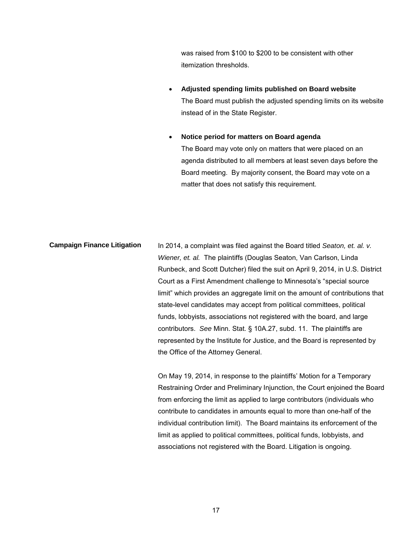was raised from \$100 to \$200 to be consistent with other itemization thresholds.

• **Adjusted spending limits published on Board website** The Board must publish the adjusted spending limits on its website instead of in the State Register.

• **Notice period for matters on Board agenda** The Board may vote only on matters that were placed on an agenda distributed to all members at least seven days before the Board meeting. By majority consent, the Board may vote on a matter that does not satisfy this requirement.

**Campaign Finance Litigation** In 2014, a complaint was filed against the Board titled *Seaton, et. al. v. Wiener, et. al.* The plaintiffs (Douglas Seaton, Van Carlson, Linda Runbeck, and Scott Dutcher) filed the suit on April 9, 2014, in U.S. District Court as a First Amendment challenge to Minnesota's "special source limit" which provides an aggregate limit on the amount of contributions that state-level candidates may accept from political committees, political funds, lobbyists, associations not registered with the board, and large contributors. *See* Minn. Stat. § 10A.27, subd. 11. The plaintiffs are represented by the Institute for Justice, and the Board is represented by the Office of the Attorney General.

> On May 19, 2014, in response to the plaintiffs' Motion for a Temporary Restraining Order and Preliminary Injunction, the Court enjoined the Board from enforcing the limit as applied to large contributors (individuals who contribute to candidates in amounts equal to more than one-half of the individual contribution limit). The Board maintains its enforcement of the limit as applied to political committees, political funds, lobbyists, and associations not registered with the Board. Litigation is ongoing.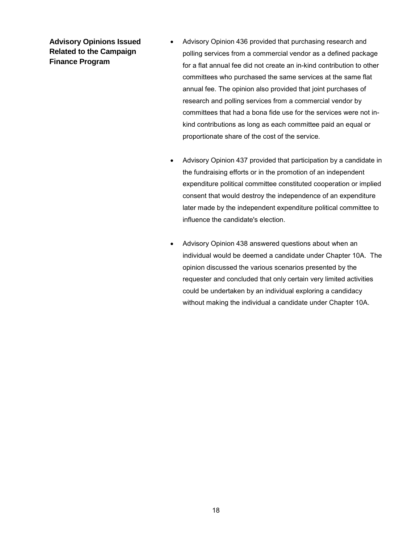<span id="page-21-0"></span>**Advisory Opinions Issued Related to the Campaign Finance Program**

- Advisory Opinion 436 provided that purchasing research and polling services from a commercial vendor as a defined package for a flat annual fee did not create an in-kind contribution to other committees who purchased the same services at the same flat annual fee. The opinion also provided that joint purchases of research and polling services from a commercial vendor by committees that had a bona fide use for the services were not inkind contributions as long as each committee paid an equal or proportionate share of the cost of the service.
- Advisory Opinion 437 provided that participation by a candidate in the fundraising efforts or in the promotion of an independent expenditure political committee constituted cooperation or implied consent that would destroy the independence of an expenditure later made by the independent expenditure political committee to influence the candidate's election.
- Advisory Opinion 438 answered questions about when an individual would be deemed a candidate under Chapter 10A. The opinion discussed the various scenarios presented by the requester and concluded that only certain very limited activities could be undertaken by an individual exploring a candidacy without making the individual a candidate under Chapter 10A.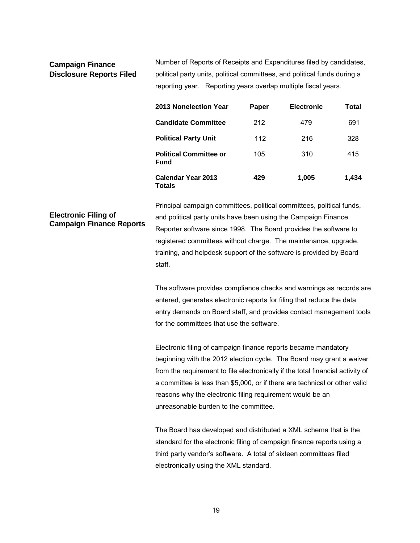#### <span id="page-22-0"></span>**Campaign Finance Disclosure Reports Filed**

Number of Reports of Receipts and Expenditures filed by candidates, political party units, political committees, and political funds during a reporting year. Reporting years overlap multiple fiscal years.

| 2013 Nonelection Year                        | Paper | <b>Electronic</b> | Total |
|----------------------------------------------|-------|-------------------|-------|
| <b>Candidate Committee</b>                   | 212   | 479               | 691   |
| <b>Political Party Unit</b>                  | 112   | 216               | 328   |
| <b>Political Committee or</b><br><b>Fund</b> | 105   | 310               | 415   |
| Calendar Year 2013<br><b>Totals</b>          | 429   | 1,005             | 1,434 |

# <span id="page-22-2"></span><span id="page-22-1"></span>**Electronic Filing of Campaign Finance Reports**

Principal campaign committees, political committees, political funds, and political party units have been using the Campaign Finance Reporter software since 1998. The Board provides the software to registered committees without charge. The maintenance, upgrade, training, and helpdesk support of the software is provided by Board staff.

The software provides compliance checks and warnings as records are entered, generates electronic reports for filing that reduce the data entry demands on Board staff, and provides contact management tools for the committees that use the software.

Electronic filing of campaign finance reports became mandatory beginning with the 2012 election cycle. The Board may grant a waiver from the requirement to file electronically if the total financial activity of a committee is less than \$5,000, or if there are technical or other valid reasons why the electronic filing requirement would be an unreasonable burden to the committee.

The Board has developed and distributed a XML schema that is the standard for the electronic filing of campaign finance reports using a third party vendor's software. A total of sixteen committees filed electronically using the XML standard.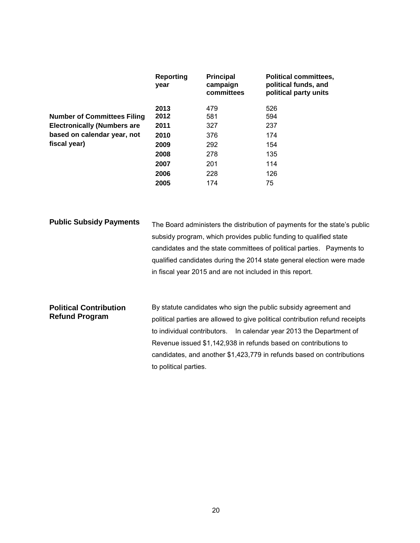|                                    | Reporting<br>year | <b>Principal</b><br>campaign<br>committees | <b>Political committees,</b><br>political funds, and<br>political party units |
|------------------------------------|-------------------|--------------------------------------------|-------------------------------------------------------------------------------|
|                                    | 2013              | 479                                        | 526                                                                           |
| <b>Number of Committees Filing</b> | 2012              | 581                                        | 594                                                                           |
| <b>Electronically (Numbers are</b> | 2011              | 327                                        | 237                                                                           |
| based on calendar year, not        | 2010              | 376                                        | 174                                                                           |
| fiscal year)                       | 2009              | 292                                        | 154                                                                           |
|                                    | 2008              | 278                                        | 135                                                                           |
|                                    | 2007              | 201                                        | 114                                                                           |
|                                    | 2006              | 228                                        | 126                                                                           |
|                                    | 2005              | 174                                        | 75                                                                            |

<span id="page-23-0"></span>

| The Board administers the distribution of payments for the state's public |
|---------------------------------------------------------------------------|
| subsidy program, which provides public funding to qualified state         |
| candidates and the state committees of political parties. Payments to     |
| qualified candidates during the 2014 state general election were made     |
| in fiscal year 2015 and are not included in this report.                  |
|                                                                           |

| <b>Political Contribution</b><br><b>Refund Program</b> | By statute candidates who sign the public subsidy agreement and              |
|--------------------------------------------------------|------------------------------------------------------------------------------|
|                                                        | political parties are allowed to give political contribution refund receipts |
|                                                        | to individual contributors. In calendar year 2013 the Department of          |
|                                                        | Revenue issued \$1,142,938 in refunds based on contributions to              |
|                                                        | candidates, and another \$1,423,779 in refunds based on contributions        |
|                                                        | to political parties.                                                        |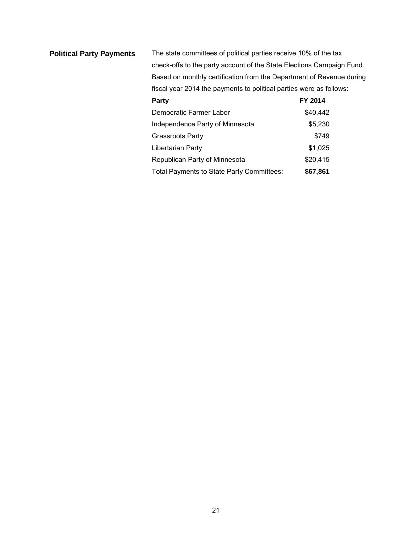<span id="page-24-0"></span>

| <b>Political Party Payments</b> | The state committees of political parties receive 10% of the tax      |          |  |
|---------------------------------|-----------------------------------------------------------------------|----------|--|
|                                 | check-offs to the party account of the State Elections Campaign Fund. |          |  |
|                                 | Based on monthly certification from the Department of Revenue during  |          |  |
|                                 | fiscal year 2014 the payments to political parties were as follows:   |          |  |
|                                 | Party                                                                 | FY 2014  |  |
|                                 | Democratic Farmer Labor                                               | \$40,442 |  |
|                                 | Independence Party of Minnesota                                       | \$5,230  |  |
|                                 | <b>Grassroots Party</b>                                               | \$749    |  |
|                                 | Libertarian Party                                                     | \$1,025  |  |
|                                 | Republican Party of Minnesota                                         | \$20,415 |  |
|                                 | Total Payments to State Party Committees:                             | \$67,861 |  |
|                                 |                                                                       |          |  |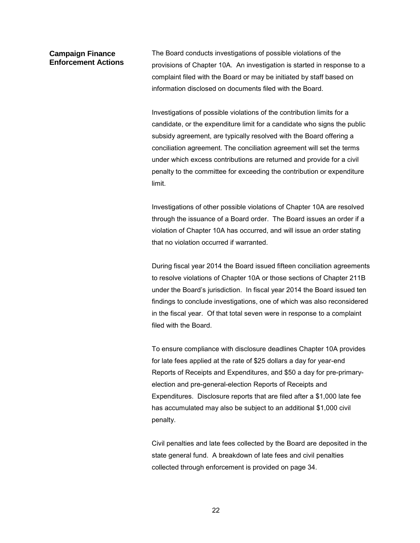#### <span id="page-25-0"></span>**Campaign Finance Enforcement Actions**

The Board conducts investigations of possible violations of the provisions of Chapter 10A. An investigation is started in response to a complaint filed with the Board or may be initiated by staff based on information disclosed on documents filed with the Board.

Investigations of possible violations of the contribution limits for a candidate, or the expenditure limit for a candidate who signs the public subsidy agreement, are typically resolved with the Board offering a conciliation agreement. The conciliation agreement will set the terms under which excess contributions are returned and provide for a civil penalty to the committee for exceeding the contribution or expenditure limit.

Investigations of other possible violations of Chapter 10A are resolved through the issuance of a Board order. The Board issues an order if a violation of Chapter 10A has occurred, and will issue an order stating that no violation occurred if warranted.

During fiscal year 2014 the Board issued fifteen conciliation agreements to resolve violations of Chapter 10A or those sections of Chapter 211B under the Board's jurisdiction. In fiscal year 2014 the Board issued ten findings to conclude investigations, one of which was also reconsidered in the fiscal year. Of that total seven were in response to a complaint filed with the Board.

To ensure compliance with disclosure deadlines Chapter 10A provides for late fees applied at the rate of \$25 dollars a day for year-end Reports of Receipts and Expenditures, and \$50 a day for pre-primaryelection and pre-general-election Reports of Receipts and Expenditures. Disclosure reports that are filed after a \$1,000 late fee has accumulated may also be subject to an additional \$1,000 civil penalty.

<span id="page-25-1"></span>Civil penalties and late fees collected by the Board are deposited in the state general fund. A breakdown of late fees and civil penalties collected through enforcement is provided on page 34.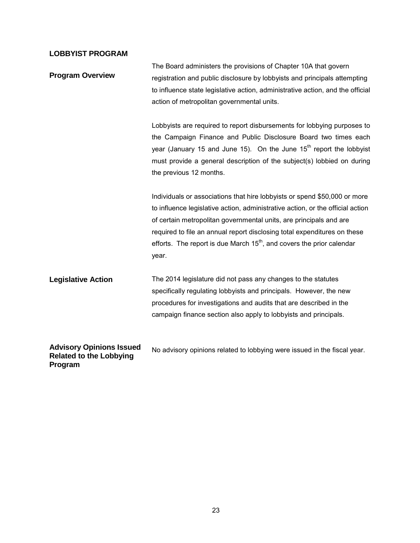### **LOBBYIST PROGRAM**

<span id="page-26-2"></span><span id="page-26-1"></span><span id="page-26-0"></span>

| <b>Program Overview</b>                                                      | The Board administers the provisions of Chapter 10A that govern<br>registration and public disclosure by lobbyists and principals attempting<br>to influence state legislative action, administrative action, and the official<br>action of metropolitan governmental units.                                                                                                                      |
|------------------------------------------------------------------------------|---------------------------------------------------------------------------------------------------------------------------------------------------------------------------------------------------------------------------------------------------------------------------------------------------------------------------------------------------------------------------------------------------|
|                                                                              | Lobbyists are required to report disbursements for lobbying purposes to<br>the Campaign Finance and Public Disclosure Board two times each<br>year (January 15 and June 15). On the June $15th$ report the lobbyist<br>must provide a general description of the subject(s) lobbied on during<br>the previous 12 months.                                                                          |
|                                                                              | Individuals or associations that hire lobbyists or spend \$50,000 or more<br>to influence legislative action, administrative action, or the official action<br>of certain metropolitan governmental units, are principals and are<br>required to file an annual report disclosing total expenditures on these<br>efforts. The report is due March $15th$ , and covers the prior calendar<br>year. |
| <b>Legislative Action</b>                                                    | The 2014 legislature did not pass any changes to the statutes<br>specifically regulating lobbyists and principals. However, the new<br>procedures for investigations and audits that are described in the<br>campaign finance section also apply to lobbyists and principals.                                                                                                                     |
| <b>Advisory Opinions Issued</b><br><b>Related to the Lobbying</b><br>Program | No advisory opinions related to lobbying were issued in the fiscal year.                                                                                                                                                                                                                                                                                                                          |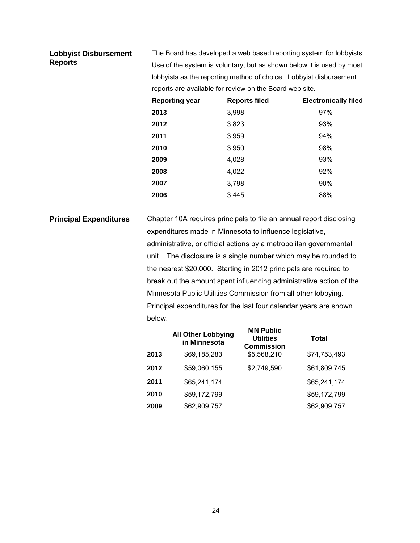#### <span id="page-27-0"></span>**Lobbyist Disbursement Reports**

The Board has developed a web based reporting system for lobbyists. Use of the system is voluntary, but as shown below it is used by most lobbyists as the reporting method of choice. Lobbyist disbursement reports are available for review on the Board web site.

| <b>Reporting year</b> | <b>Reports filed</b> | <b>Electronically filed</b> |
|-----------------------|----------------------|-----------------------------|
| 2013                  | 3,998                | 97%                         |
| 2012                  | 3,823                | 93%                         |
| 2011                  | 3,959                | 94%                         |
| 2010                  | 3,950                | 98%                         |
| 2009                  | 4,028                | 93%                         |
| 2008                  | 4,022                | 92%                         |
| 2007                  | 3,798                | 90%                         |
| 2006                  | 3,445                | 88%                         |

<span id="page-27-1"></span>**Principal Expenditures** Chapter 10A requires principals to file an annual report disclosing expenditures made in Minnesota to influence legislative, administrative, or official actions by a metropolitan governmental unit. The disclosure is a single number which may be rounded to the nearest \$20,000. Starting in 2012 principals are required to break out the amount spent influencing administrative action of the Minnesota Public Utilities Commission from all other lobbying. Principal expenditures for the last four calendar years are shown below.

|      | <b>All Other Lobbying</b><br>in Minnesota | <b>MN Public</b><br><b>Utilities</b><br><b>Commission</b> | <b>Total</b> |
|------|-------------------------------------------|-----------------------------------------------------------|--------------|
| 2013 | \$69,185,283                              | \$5,568,210                                               | \$74,753,493 |
| 2012 | \$59,060,155                              | \$2,749,590                                               | \$61,809,745 |
| 2011 | \$65,241,174                              |                                                           | \$65,241,174 |
| 2010 | \$59,172,799                              |                                                           | \$59,172,799 |
| 2009 | \$62,909,757                              |                                                           | \$62,909,757 |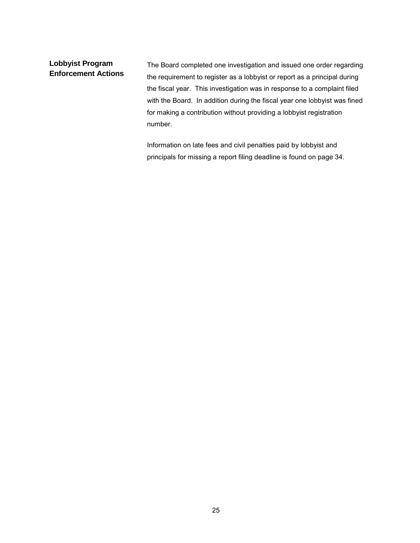### <span id="page-28-0"></span>**Lobbyist Program Enforcement Actions**

The Board completed one investigation and issued one order regarding the requirement to register as a lobbyist or report as a principal during the fiscal year. This investigation was in response to a complaint filed with the Board. In addition during the fiscal year one lobbyist was fined for making a contribution without providing a lobbyist registration number.

Information on late fees and civil penalties paid by lobbyist and principals for missing a report filing deadline is found on page 34.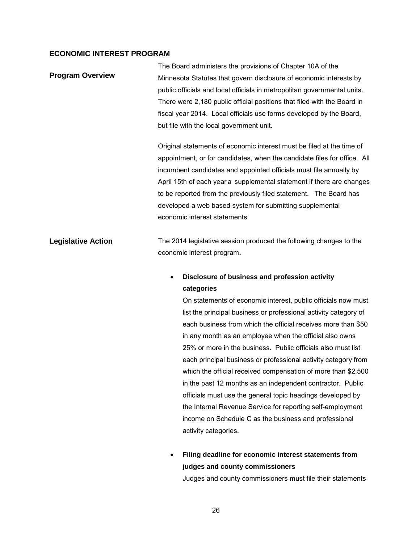#### <span id="page-29-0"></span>**ECONOMIC INTEREST PROGRAM**

<span id="page-29-1"></span>

|                           | The Board administers the provisions of Chapter 10A of the                                                                                                                                                              |  |  |  |
|---------------------------|-------------------------------------------------------------------------------------------------------------------------------------------------------------------------------------------------------------------------|--|--|--|
| <b>Program Overview</b>   | Minnesota Statutes that govern disclosure of economic interests by                                                                                                                                                      |  |  |  |
|                           | public officials and local officials in metropolitan governmental units.                                                                                                                                                |  |  |  |
|                           | There were 2,180 public official positions that filed with the Board in                                                                                                                                                 |  |  |  |
|                           | fiscal year 2014. Local officials use forms developed by the Board,                                                                                                                                                     |  |  |  |
|                           | but file with the local government unit.                                                                                                                                                                                |  |  |  |
|                           | Original statements of economic interest must be filed at the time of                                                                                                                                                   |  |  |  |
|                           | appointment, or for candidates, when the candidate files for office. All<br>incumbent candidates and appointed officials must file annually by<br>April 15th of each year a supplemental statement if there are changes |  |  |  |
|                           |                                                                                                                                                                                                                         |  |  |  |
|                           |                                                                                                                                                                                                                         |  |  |  |
|                           | to be reported from the previously filed statement. The Board has                                                                                                                                                       |  |  |  |
|                           | developed a web based system for submitting supplemental                                                                                                                                                                |  |  |  |
|                           | economic interest statements.                                                                                                                                                                                           |  |  |  |
| <b>Legislative Action</b> | The 2014 legislative session produced the following changes to the                                                                                                                                                      |  |  |  |
|                           | economic interest program.                                                                                                                                                                                              |  |  |  |
|                           | Disclosure of business and profession activity<br>$\bullet$                                                                                                                                                             |  |  |  |
|                           | categories                                                                                                                                                                                                              |  |  |  |
|                           | On statements of economic interest, public officials now must                                                                                                                                                           |  |  |  |
|                           | list the principal business or professional activity category of                                                                                                                                                        |  |  |  |
|                           | each business from which the official receives more than \$50                                                                                                                                                           |  |  |  |

<span id="page-29-2"></span>liness from which the official receives more than  $\$50$ in any month as an employee when the official also owns 25% or more in the business. Public officials also must list each principal business or professional activity category from which the official received compensation of more than \$2,500 in the past 12 months as an independent contractor. Public officials must use the general topic headings developed by the Internal Revenue Service for reporting self-employment income on Schedule C as the business and professional activity categories.

• **Filing deadline for economic interest statements from judges and county commissioners** Judges and county commissioners must file their statements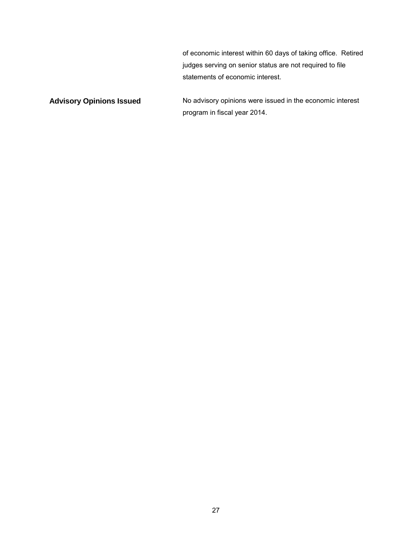of economic interest within 60 days of taking office. Retired judges serving on senior status are not required to file statements of economic interest.

<span id="page-30-0"></span>Advisory Opinions Issued **No advisory opinions were issued in the economic interest** program in fiscal year 2014.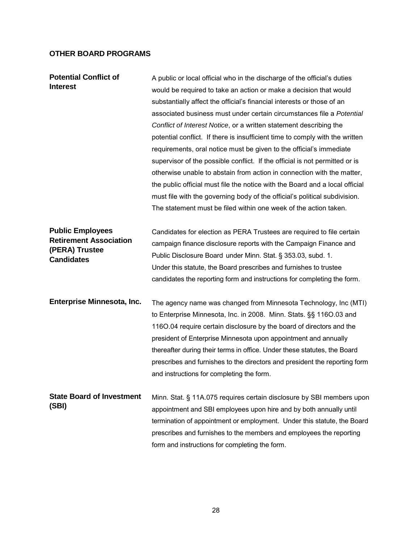# <span id="page-31-0"></span>**OTHER BOARD PROGRAMS**

| <b>Potential Conflict of</b><br><b>Interest</b>                                                 | A public or local official who in the discharge of the official's duties<br>would be required to take an action or make a decision that would<br>substantially affect the official's financial interests or those of an<br>associated business must under certain circumstances file a Potential<br>Conflict of Interest Notice, or a written statement describing the<br>potential conflict. If there is insufficient time to comply with the written<br>requirements, oral notice must be given to the official's immediate<br>supervisor of the possible conflict. If the official is not permitted or is<br>otherwise unable to abstain from action in connection with the matter,<br>the public official must file the notice with the Board and a local official<br>must file with the governing body of the official's political subdivision.<br>The statement must be filed within one week of the action taken. |
|-------------------------------------------------------------------------------------------------|--------------------------------------------------------------------------------------------------------------------------------------------------------------------------------------------------------------------------------------------------------------------------------------------------------------------------------------------------------------------------------------------------------------------------------------------------------------------------------------------------------------------------------------------------------------------------------------------------------------------------------------------------------------------------------------------------------------------------------------------------------------------------------------------------------------------------------------------------------------------------------------------------------------------------|
| <b>Public Employees</b><br><b>Retirement Association</b><br>(PERA) Trustee<br><b>Candidates</b> | Candidates for election as PERA Trustees are required to file certain<br>campaign finance disclosure reports with the Campaign Finance and<br>Public Disclosure Board under Minn. Stat. § 353.03, subd. 1.<br>Under this statute, the Board prescribes and furnishes to trustee<br>candidates the reporting form and instructions for completing the form.                                                                                                                                                                                                                                                                                                                                                                                                                                                                                                                                                               |
| Enterprise Minnesota, Inc.                                                                      | The agency name was changed from Minnesota Technology, Inc (MTI)<br>to Enterprise Minnesota, Inc. in 2008. Minn. Stats. §§ 116O.03 and<br>1160.04 require certain disclosure by the board of directors and the<br>president of Enterprise Minnesota upon appointment and annually<br>thereafter during their terms in office. Under these statutes, the Board<br>prescribes and furnishes to the directors and president the reporting form<br>and instructions for completing the form.                                                                                                                                                                                                                                                                                                                                                                                                                                 |
| <b>State Board of Investment</b><br>(SBI)                                                       | Minn. Stat. § 11A.075 requires certain disclosure by SBI members upon<br>appointment and SBI employees upon hire and by both annually until<br>termination of appointment or employment. Under this statute, the Board<br>prescribes and furnishes to the members and employees the reporting<br>form and instructions for completing the form.                                                                                                                                                                                                                                                                                                                                                                                                                                                                                                                                                                          |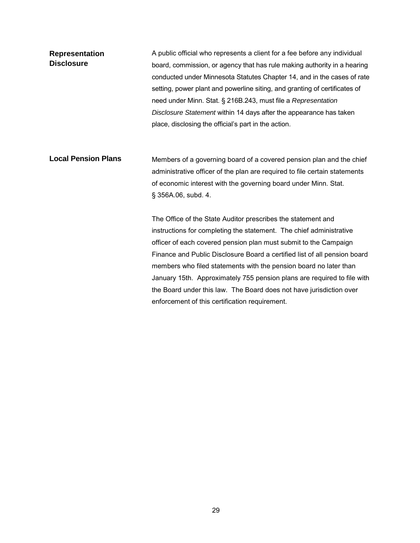**Representation Disclosure**  A public official who represents a client for a fee before any individual board, commission, or agency that has rule making authority in a hearing conducted under Minnesota Statutes Chapter 14, and in the cases of rate setting, power plant and powerline siting, and granting of certificates of need under Minn. Stat. § 216B.243, must file a *Representation Disclosure Statement* within 14 days after the appearance has taken place, disclosing the official's part in the action. **Local Pension Plans** Members of a governing board of a covered pension plan and the chief administrative officer of the plan are required to file certain statements of economic interest with the governing board under Minn. Stat. § 356A.06, subd. 4. The Office of the State Auditor prescribes the statement and instructions for completing the statement. The chief administrative officer of each covered pension plan must submit to the Campaign Finance and Public Disclosure Board a certified list of all pension board members who filed statements with the pension board no later than January 15th. Approximately 755 pension plans are required to file with

the Board under this law. The Board does not have jurisdiction over

enforcement of this certification requirement.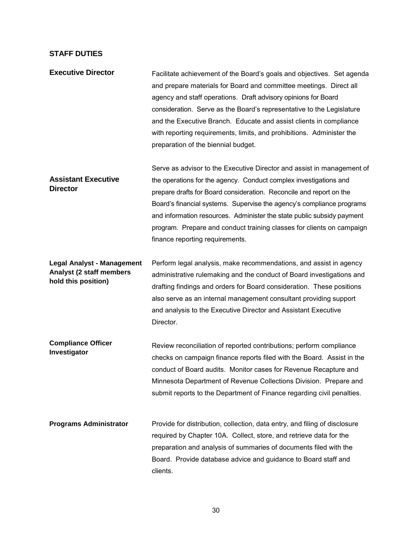#### <span id="page-33-0"></span>**STAFF DUTIES**

**Executive Director Facilitate achievement of the Board's goals and objectives. Set agenda** and prepare materials for Board and committee meetings. Direct all agency and staff operations. Draft advisory opinions for Board consideration. Serve as the Board's representative to the Legislature and the Executive Branch. Educate and assist clients in compliance with reporting requirements, limits, and prohibitions. Administer the preparation of the biennial budget. **Assistant Executive Director** Serve as advisor to the Executive Director and assist in management of the operations for the agency. Conduct complex investigations and prepare drafts for Board consideration. Reconcile and report on the Board's financial systems. Supervise the agency's compliance programs and information resources. Administer the state public subsidy payment program. Prepare and conduct training classes for clients on campaign finance reporting requirements. **Legal Analyst - Management Analyst (2 staff members hold this position)**  Perform legal analysis, make recommendations, and assist in agency administrative rulemaking and the conduct of Board investigations and drafting findings and orders for Board consideration. These positions also serve as an internal management consultant providing support and analysis to the Executive Director and Assistant Executive Director. **Compliance Officer**

**Investigator** Review reconciliation of reported contributions; perform compliance checks on campaign finance reports filed with the Board. Assist in the conduct of Board audits. Monitor cases for Revenue Recapture and Minnesota Department of Revenue Collections Division. Prepare and submit reports to the Department of Finance regarding civil penalties.

**Programs Administrator** Provide for distribution, collection, data entry, and filing of disclosure required by Chapter 10A. Collect, store, and retrieve data for the preparation and analysis of summaries of documents filed with the Board. Provide database advice and guidance to Board staff and clients.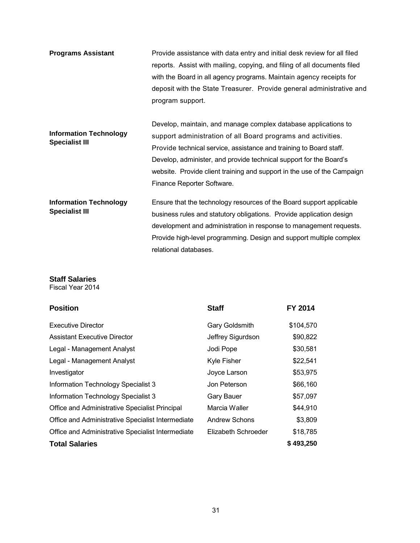| <b>Programs Assistant</b>                              | Provide assistance with data entry and initial desk review for all filed<br>reports. Assist with mailing, copying, and filing of all documents filed<br>with the Board in all agency programs. Maintain agency receipts for<br>deposit with the State Treasurer. Provide general administrative and<br>program support.                                                             |
|--------------------------------------------------------|-------------------------------------------------------------------------------------------------------------------------------------------------------------------------------------------------------------------------------------------------------------------------------------------------------------------------------------------------------------------------------------|
| <b>Information Technology</b><br><b>Specialist III</b> | Develop, maintain, and manage complex database applications to<br>support administration of all Board programs and activities.<br>Provide technical service, assistance and training to Board staff.<br>Develop, administer, and provide technical support for the Board's<br>website. Provide client training and support in the use of the Campaign<br>Finance Reporter Software. |
| <b>Information Technology</b><br><b>Specialist III</b> | Ensure that the technology resources of the Board support applicable<br>business rules and statutory obligations. Provide application design<br>development and administration in response to management requests.<br>Provide high-level programming. Design and support multiple complex<br>relational databases.                                                                  |

# <span id="page-34-0"></span>**Staff Salaries**

Fiscal Year 2014

| <b>Position</b>                                   | <b>Staff</b>         | FY 2014   |
|---------------------------------------------------|----------------------|-----------|
| <b>Executive Director</b>                         | Gary Goldsmith       | \$104,570 |
| <b>Assistant Executive Director</b>               | Jeffrey Sigurdson    | \$90,822  |
| Legal - Management Analyst                        | Jodi Pope            | \$30,581  |
| Legal - Management Analyst                        | <b>Kyle Fisher</b>   | \$22,541  |
| Investigator                                      | Joyce Larson         | \$53,975  |
| Information Technology Specialist 3               | Jon Peterson         | \$66,160  |
| Information Technology Specialist 3               | <b>Gary Bauer</b>    | \$57,097  |
| Office and Administrative Specialist Principal    | Marcia Waller        | \$44,910  |
| Office and Administrative Specialist Intermediate | <b>Andrew Schons</b> | \$3,809   |
| Office and Administrative Specialist Intermediate | Elizabeth Schroeder  | \$18,785  |
| <b>Total Salaries</b>                             |                      | \$493,250 |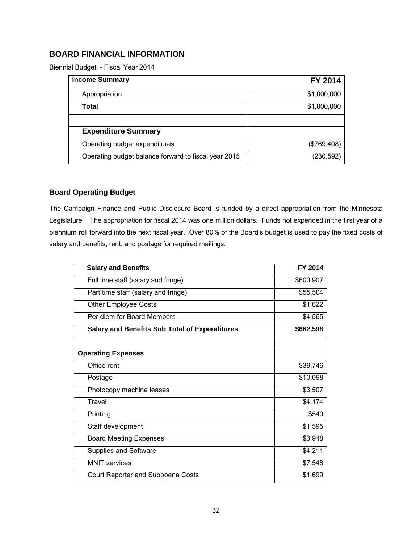# <span id="page-35-0"></span>**BOARD FINANCIAL INFORMATION**

Biennial Budget - Fiscal Year 2014

| <b>Income Summary</b>                                | FY 2014     |
|------------------------------------------------------|-------------|
| Appropriation                                        | \$1,000,000 |
| Total                                                | \$1,000,000 |
|                                                      |             |
| <b>Expenditure Summary</b>                           |             |
| Operating budget expenditures                        | (\$769,408) |
| Operating budget balance forward to fiscal year 2015 | (230,592)   |

### <span id="page-35-1"></span>**Board Operating Budget**

The Campaign Finance and Public Disclosure Board is funded by a direct appropriation from the Minnesota Legislature. The appropriation for fiscal 2014 was one million dollars. Funds not expended in the first year of a biennium roll forward into the next fiscal year. Over 80% of the Board's budget is used to pay the fixed costs of salary and benefits, rent, and postage for required mailings.

| <b>Salary and Benefits</b>                           | FY 2014   |
|------------------------------------------------------|-----------|
| Full time staff (salary and fringe)                  | \$600,907 |
| Part time staff (salary and fringe)                  | \$55,504  |
| <b>Other Employee Costs</b>                          | \$1,622   |
| Per diem for Board Members                           | \$4,565   |
| <b>Salary and Benefits Sub Total of Expenditures</b> | \$662,598 |
|                                                      |           |
| <b>Operating Expenses</b>                            |           |
| Office rent                                          | \$39,746  |
| Postage                                              | \$10,098  |
| Photocopy machine leases                             | \$3,507   |
| Travel                                               | \$4,174   |
| Printing                                             | \$540     |
| Staff development                                    | \$1,595   |
| <b>Board Meeting Expenses</b>                        | \$3,948   |
| Supplies and Software                                | \$4,211   |
| <b>MNIT</b> services                                 | \$7,548   |
| Court Reporter and Subpoena Costs                    | \$1,699   |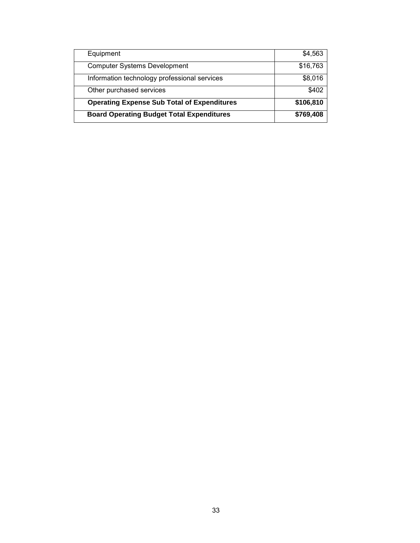| Equipment                                          | \$4,563   |
|----------------------------------------------------|-----------|
| <b>Computer Systems Development</b>                | \$16,763  |
| Information technology professional services       | \$8,016   |
| Other purchased services                           | \$402     |
| <b>Operating Expense Sub Total of Expenditures</b> | \$106,810 |
| <b>Board Operating Budget Total Expenditures</b>   | \$769,408 |